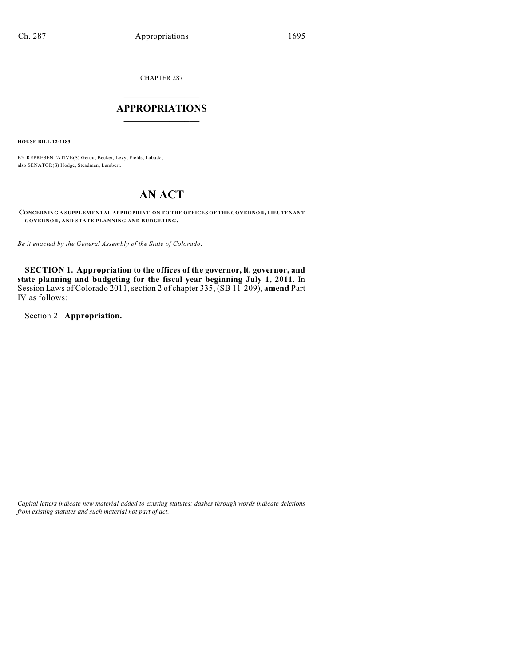CHAPTER 287

# $\overline{\phantom{a}}$  . The set of the set of the set of the set of the set of the set of the set of the set of the set of the set of the set of the set of the set of the set of the set of the set of the set of the set of the set o **APPROPRIATIONS**  $\_$   $\_$   $\_$   $\_$   $\_$   $\_$   $\_$   $\_$

**HOUSE BILL 12-1183**

BY REPRESENTATIVE(S) Gerou, Becker, Levy, Fields, Labuda; also SENATOR(S) Hodge, Steadman, Lambert.

# **AN ACT**

**CONCERNING A SUPPLEMENTAL APPROPRIATION TO THE OFFICES OF THE GOVERNOR, LIEUTENANT GOVERNOR, AND STATE PLANNING AND BUDGETING.**

*Be it enacted by the General Assembly of the State of Colorado:*

**SECTION 1. Appropriation to the offices of the governor, lt. governor, and state planning and budgeting for the fiscal year beginning July 1, 2011.** In Session Laws of Colorado 2011, section 2 of chapter 335, (SB 11-209), **amend** Part IV as follows:

Section 2. **Appropriation.**

)))))

*Capital letters indicate new material added to existing statutes; dashes through words indicate deletions from existing statutes and such material not part of act.*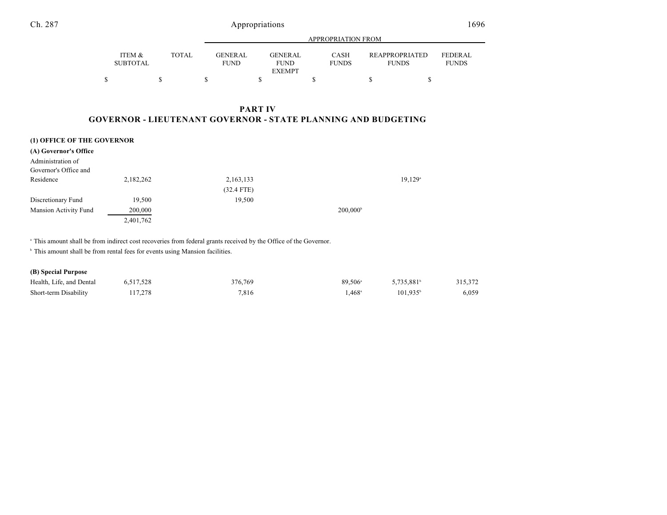|                 |              |                | APPROPRIATION FROM |              |                       |                |  |
|-----------------|--------------|----------------|--------------------|--------------|-----------------------|----------------|--|
| ITEM &          | <b>TOTAL</b> | <b>GENERAL</b> | <b>GENERAL</b>     | <b>CASH</b>  | <b>REAPPROPRIATED</b> | <b>FEDERAL</b> |  |
| <b>SUBTOTAL</b> |              | <b>FUND</b>    | <b>FUND</b>        | <b>FUNDS</b> | <b>FUNDS</b>          | <b>FUNDS</b>   |  |
|                 |              |                | <b>EXEMPT</b>      |              |                       |                |  |
|                 |              |                |                    |              |                       |                |  |

## **PART IV GOVERNOR - LIEUTENANT GOVERNOR - STATE PLANNING AND BUDGETING**

#### **(1) OFFICE OF THE GOVERNOR**

| (A) Governor's Office |           |              |                   |        |
|-----------------------|-----------|--------------|-------------------|--------|
| Administration of     |           |              |                   |        |
| Governor's Office and |           |              |                   |        |
| Residence             | 2,182,262 | 2,163,133    |                   | 19,129 |
|                       |           | $(32.4$ FTE) |                   |        |
| Discretionary Fund    | 19,500    | 19,500       |                   |        |
| Mansion Activity Fund | 200,000   |              | $200,000^{\circ}$ |        |
|                       | 2,401,762 |              |                   |        |
|                       |           |              |                   |        |

This amount shall be from indirect cost recoveries from federal grants received by the Office of the Governor. <sup>a</sup>

 $^{\circ}$  This amount shall be from rental fees for events using Mansion facilities.

### **(B) Special Purpose**

| Health, Life, and Dental | 6,517,528 | 376.769 | 89.506 <sup>a</sup> | 5,735,881         | 315,372 |
|--------------------------|-----------|---------|---------------------|-------------------|---------|
| Short-term Disability    | 117,278   | 7,816   | $.468^{\circ}$      | $101.935^{\circ}$ | 6,059   |

and the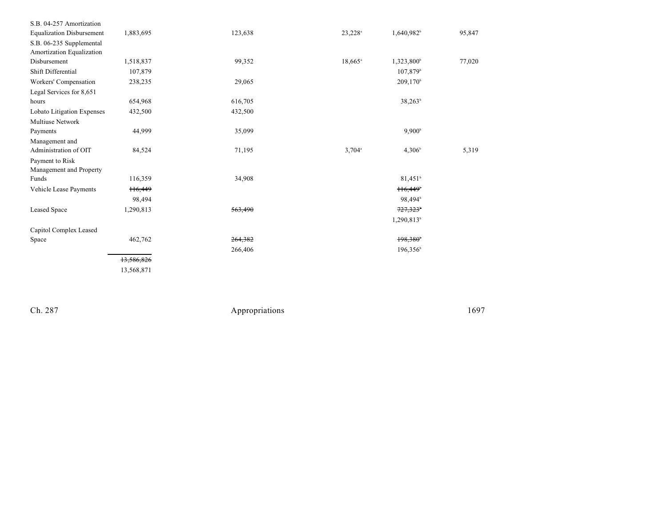| S.B. 04-257 Amortization         |                     |         |                      |                        |        |
|----------------------------------|---------------------|---------|----------------------|------------------------|--------|
| <b>Equalization Disbursement</b> | 1,883,695           | 123,638 | 23,228 <sup>a</sup>  | 1,640,982 <sup>b</sup> | 95,847 |
| S.B. 06-235 Supplemental         |                     |         |                      |                        |        |
| Amortization Equalization        |                     |         |                      |                        |        |
| Disbursement                     | 1,518,837           | 99,352  | $18,665^{\circ}$     | 1,323,800 <sup>b</sup> | 77,020 |
| Shift Differential               | 107,879             |         |                      | $107,879^{\circ}$      |        |
| Workers' Compensation            | 238,235             | 29,065  |                      | $209,170^{\circ}$      |        |
| Legal Services for 8,651         |                     |         |                      |                        |        |
| hours                            | 654,968             | 616,705 |                      | $38,263^b$             |        |
| Lobato Litigation Expenses       | 432,500             | 432,500 |                      |                        |        |
| <b>Multiuse Network</b>          |                     |         |                      |                        |        |
| Payments                         | 44,999              | 35,099  |                      | $9,900^{\circ}$        |        |
| Management and                   |                     |         |                      |                        |        |
| Administration of OIT            | 84,524              | 71,195  | $3,704$ <sup>a</sup> | $4,306^{\circ}$        | 5,319  |
| Payment to Risk                  |                     |         |                      |                        |        |
| Management and Property          |                     |         |                      |                        |        |
| Funds                            | 116,359             | 34,908  |                      | $81,451^b$             |        |
| Vehicle Lease Payments           | H <sub>6</sub> ,449 |         |                      | 116,449                |        |
|                                  | 98,494              |         |                      | 98.494 <sup>b</sup>    |        |
| <b>Leased Space</b>              | 1,290,813           | 563,490 |                      | 727,323                |        |
|                                  |                     |         |                      | 1,290,813 <sup>b</sup> |        |
| Capitol Complex Leased           |                     |         |                      |                        |        |
| Space                            | 462,762             | 264,382 |                      | 198,380                |        |
|                                  |                     | 266,406 |                      | $196,356^{\circ}$      |        |
|                                  | 13,586,826          |         |                      |                        |        |
|                                  | 13,568,871          |         |                      |                        |        |

Ch. 287

Appropriations

1 6 9 7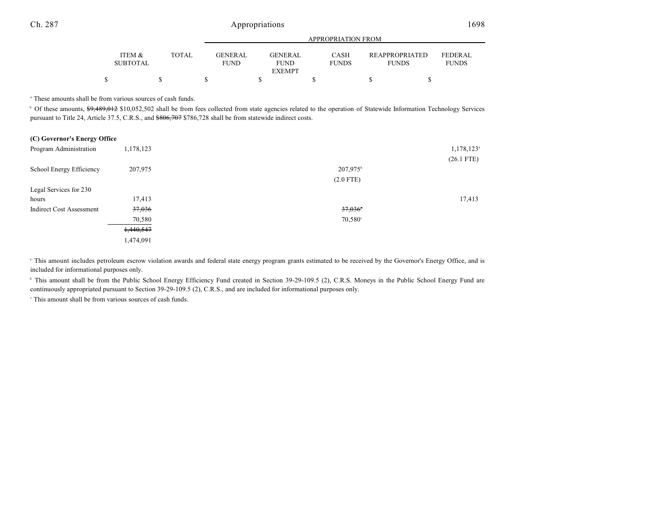|                   |       |                 | APPROPRIATION FROM |              |                       |                |  |
|-------------------|-------|-----------------|--------------------|--------------|-----------------------|----------------|--|
| <b>ITEM &amp;</b> | TOTAL | <b>GENER AL</b> | <b>GENERAL</b>     | <b>CASH</b>  | <b>REAPPROPRIATED</b> | <b>FEDERAL</b> |  |
| <b>SUBTOTAL</b>   |       | <b>FUND</b>     | <b>FUND</b>        | <b>FUNDS</b> | <b>FUNDS</b>          | <b>FUNDS</b>   |  |
|                   |       |                 | <b>EXEMPT</b>      |              |                       |                |  |
|                   |       |                 |                    |              |                       |                |  |

<sup>a</sup> These amounts shall be from various sources of cash funds.

<sup>b</sup> Of these amounts, \$9,489,012 \$10,052,502 shall be from fees collected from state agencies related to the operation of Statewide Information Technology Services pursuant to Title 24, Article 37.5, C.R.S., and \$806,707 \$786,728 shall be from statewide indirect costs.

| (C) Governor's Energy Office    |           |                      |                          |
|---------------------------------|-----------|----------------------|--------------------------|
| Program Administration          | 1,178,123 |                      | $1,178,123$ <sup>a</sup> |
|                                 |           |                      | $(26.1$ FTE)             |
| School Energy Efficiency        | 207,975   | 207,975 <sup>b</sup> |                          |
|                                 |           | $(2.0$ FTE)          |                          |
| Legal Services for 230          |           |                      |                          |
| hours                           | 17,413    |                      | 17,413                   |
| <b>Indirect Cost Assessment</b> | 37,036    | 37,036               |                          |
|                                 | 70,580    | $70,580^{\circ}$     |                          |
|                                 | 1,440,547 |                      |                          |
|                                 | 1,474,091 |                      |                          |
|                                 |           |                      |                          |

<sup>a</sup> This amount includes petroleum escrow violation awards and federal state energy program grants estimated to be received by the Governor's Energy Office, and is included for informational purposes only.

<sup>b</sup> This amount shall be from the Public School Energy Efficiency Fund created in Section 39-29-109.5 (2), C.R.S. Moneys in the Public School Energy Fund are continuously appropriated pursuant to Section 39-29-109.5 (2), C.R.S., and are included for informational purposes only.

 $\cdot$  This amount shall be from various sources of cash funds.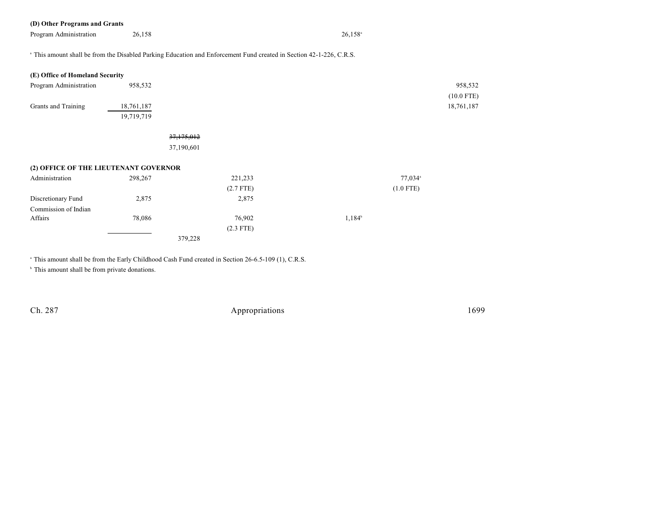## **(D) Other Programs and Grants**

Program Administration 26,158 26,158 26,158 26,158 26,158 26,158 26,158 26,158 26,158 26,158 26,158 26,158 26,158 26,158 26,158 26,158 26,158 26,158 26,158 26,158 26,158 26,158 26,158 26,158 26,158 26,158 26,158 26,158 26,

<sup>a</sup> This amount shall be from the Disabled Parking Education and Enforcement Fund created in Section 42-1-226, C.R.S.

| (E) Office of Homeland Security       |            |             |                     |              |
|---------------------------------------|------------|-------------|---------------------|--------------|
| Program Administration                | 958,532    |             |                     | 958,532      |
|                                       |            |             |                     | $(10.0$ FTE) |
| Grants and Training                   | 18,761,187 |             |                     | 18,761,187   |
|                                       | 19,719,719 |             |                     |              |
|                                       |            |             |                     |              |
|                                       |            | 37,175,012  |                     |              |
|                                       |            | 37,190,601  |                     |              |
|                                       |            |             |                     |              |
| (2) OFFICE OF THE LIEUTENANT GOVERNOR |            |             |                     |              |
| Administration                        | 298,267    | 221,233     | 77,034 <sup>a</sup> |              |
|                                       |            | $(2.7$ FTE) | $(1.0$ FTE)         |              |
| Discretionary Fund                    | 2,875      | 2,875       |                     |              |
| Commission of Indian                  |            |             |                     |              |
| Affairs                               | 78,086     | 76,902      | $1,184^b$           |              |
|                                       |            | $(2.3$ FTE) |                     |              |
|                                       |            |             |                     |              |
|                                       |            | 379,228     |                     |              |
|                                       |            |             |                     |              |

<sup>a</sup> This amount shall be from the Early Childhood Cash Fund created in Section 26-6.5-109 (1), C.R.S.

 $\,^{\circ}$  This amount shall be from private donations.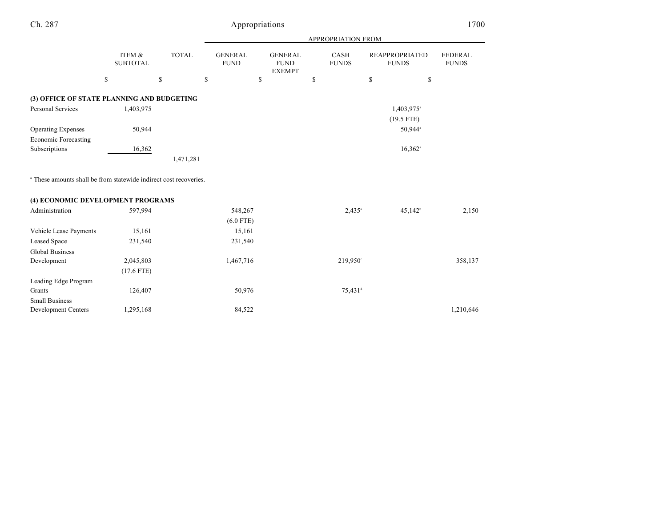# Appropriations 1700

|                                                                              |                           |              |                               |                                                | APPROPRIATION FROM   |                                       |                                |
|------------------------------------------------------------------------------|---------------------------|--------------|-------------------------------|------------------------------------------------|----------------------|---------------------------------------|--------------------------------|
|                                                                              | ITEM &<br><b>SUBTOTAL</b> | <b>TOTAL</b> | <b>GENERAL</b><br><b>FUND</b> | <b>GENERAL</b><br><b>FUND</b><br><b>EXEMPT</b> | CASH<br><b>FUNDS</b> | <b>REAPPROPRIATED</b><br><b>FUNDS</b> | <b>FEDERAL</b><br><b>FUNDS</b> |
|                                                                              | \$                        | \$           | \$                            | \$                                             | \$                   | \$                                    | \$                             |
| (3) OFFICE OF STATE PLANNING AND BUDGETING                                   |                           |              |                               |                                                |                      |                                       |                                |
| <b>Personal Services</b>                                                     | 1,403,975                 |              |                               |                                                |                      | 1,403,975 <sup>a</sup>                |                                |
|                                                                              |                           |              |                               |                                                |                      | $(19.5$ FTE)                          |                                |
|                                                                              |                           |              |                               |                                                |                      |                                       |                                |
| <b>Operating Expenses</b>                                                    | 50,944                    |              |                               |                                                |                      | 50,944 <sup>a</sup>                   |                                |
| <b>Economic Forecasting</b>                                                  |                           |              |                               |                                                |                      |                                       |                                |
| Subscriptions                                                                | 16,362                    |              |                               |                                                |                      | $16,362$ <sup>a</sup>                 |                                |
|                                                                              |                           | 1,471,281    |                               |                                                |                      |                                       |                                |
| <sup>a</sup> These amounts shall be from statewide indirect cost recoveries. |                           |              |                               |                                                |                      |                                       |                                |
| (4) ECONOMIC DEVELOPMENT PROGRAMS                                            |                           |              |                               |                                                |                      |                                       |                                |
| Administration                                                               | 597,994                   |              | 548,267                       |                                                | $2,435^{\circ}$      | $45,142$ <sup>b</sup>                 | 2,150                          |
|                                                                              |                           |              | $(6.0$ FTE)                   |                                                |                      |                                       |                                |
| Vehicle Lease Payments                                                       | 15,161                    |              | 15,161                        |                                                |                      |                                       |                                |
| Leased Space                                                                 | 231,540                   |              | 231,540                       |                                                |                      |                                       |                                |
| <b>Global Business</b>                                                       |                           |              |                               |                                                |                      |                                       |                                |
| Development                                                                  | 2,045,803                 |              | 1,467,716                     |                                                | 219,950°             |                                       | 358,137                        |
|                                                                              | $(17.6$ FTE)              |              |                               |                                                |                      |                                       |                                |
| Leading Edge Program                                                         |                           |              |                               |                                                |                      |                                       |                                |
| Grants                                                                       | 126,407                   |              | 50,976                        |                                                | 75,431 <sup>d</sup>  |                                       |                                |
| <b>Small Business</b>                                                        |                           |              |                               |                                                |                      |                                       |                                |
| <b>Development Centers</b>                                                   | 1,295,168                 |              | 84,522                        |                                                |                      |                                       | 1,210,646                      |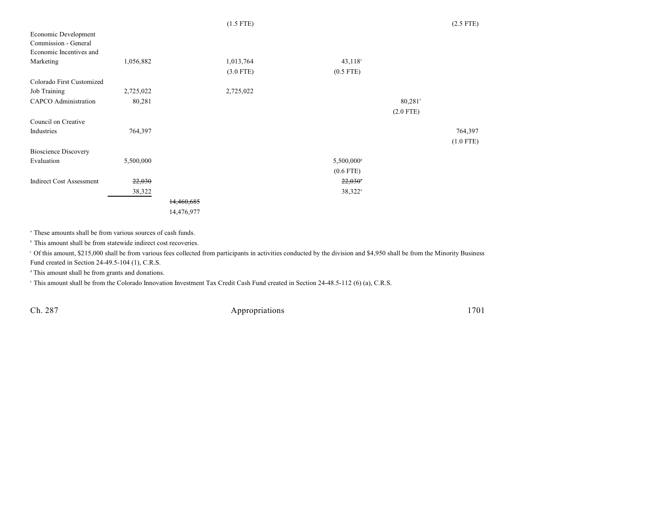|                                 |           |            | $(1.5$ FTE) |                        |                       | $(2.5$ FTE) |
|---------------------------------|-----------|------------|-------------|------------------------|-----------------------|-------------|
| Economic Development            |           |            |             |                        |                       |             |
| Commission - General            |           |            |             |                        |                       |             |
| Economic Incentives and         |           |            |             |                        |                       |             |
| Marketing                       | 1,056,882 |            | 1,013,764   | $43,118$ °             |                       |             |
|                                 |           |            | $(3.0$ FTE) | $(0.5$ FTE)            |                       |             |
| Colorado First Customized       |           |            |             |                        |                       |             |
| Job Training                    | 2,725,022 |            | 2,725,022   |                        |                       |             |
| <b>CAPCO</b> Administration     | 80,281    |            |             |                        | $80,281$ <sup>f</sup> |             |
|                                 |           |            |             |                        | $(2.0$ FTE)           |             |
| Council on Creative             |           |            |             |                        |                       |             |
| Industries                      | 764,397   |            |             |                        |                       | 764,397     |
|                                 |           |            |             |                        |                       | $(1.0$ FTE) |
| <b>Bioscience Discovery</b>     |           |            |             |                        |                       |             |
| Evaluation                      | 5,500,000 |            |             | 5,500,000 <sup>s</sup> |                       |             |
|                                 |           |            |             | $(0.6$ FTE)            |                       |             |
| <b>Indirect Cost Assessment</b> | 22,030    |            |             | 22,030                 |                       |             |
|                                 | 38,322    |            |             | 38,322 <sup>a</sup>    |                       |             |
|                                 |           | 14,460,685 |             |                        |                       |             |
|                                 |           | 14,476,977 |             |                        |                       |             |

<sup>a</sup> These amounts shall be from various sources of cash funds.

 $^{\circ}$  This amount shall be from statewide indirect cost recoveries.

 Of this amount, \$215,000 shall be from various fees collected from participants in activities conducted by the division and \$4,950 shall be from the Minority Business <sup>c</sup> Fund created in Section 24-49.5-104 (1), C.R.S.

 $d$  This amount shall be from grants and donations.

<sup>e</sup> This amount shall be from the Colorado Innovation Investment Tax Credit Cash Fund created in Section 24-48.5-112 (6) (a), C.R.S.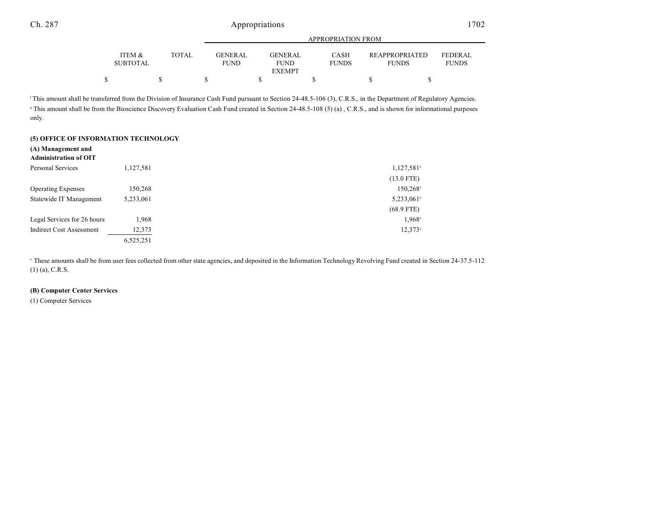|                           |              |                               | APPROPRIATION FROM     |                             |                                |                                |  |
|---------------------------|--------------|-------------------------------|------------------------|-----------------------------|--------------------------------|--------------------------------|--|
| ITEM &<br><b>SUBTOTAL</b> | <b>TOTAL</b> | <b>GENERAL</b><br><b>FUND</b> | GENERAL<br><b>FUND</b> | <b>CASH</b><br><b>FUNDS</b> | REAPPROPRIATED<br><b>FUNDS</b> | <b>FEDERAL</b><br><b>FUNDS</b> |  |
|                           |              |                               | <b>EXEMPT</b>          |                             |                                |                                |  |
|                           |              |                               |                        |                             |                                |                                |  |

<sup>f</sup>This amount shall be transferred from the Division of Insurance Cash Fund pursuant to Section 24-48.5-106 (3), C.R.S., in the Department of Regulatory Agencies. <sup>8</sup> This amount shall be from the Bioscience Discovery Evaluation Cash Fund created in Section 24-48.5-108 (5) (a), C.R.S., and is shown for informational purposes only.

#### **(5) OFFICE OF INFORMATION TECHNOLOGY**

#### **(A) Management and**

| <b>Administration of OIT</b>    |           |                          |
|---------------------------------|-----------|--------------------------|
| Personal Services               | 1,127,581 | $1,127,581$ <sup>a</sup> |
|                                 |           | $(13.0$ FTE)             |
| <b>Operating Expenses</b>       | 150,268   | $150,268$ <sup>a</sup>   |
| Statewide IT Management         | 5,233,061 | 5,233,061 <sup>a</sup>   |
|                                 |           | $(68.9$ FTE)             |
| Legal Services for 26 hours     | 1.968     | $1,968^{\circ}$          |
| <b>Indirect Cost Assessment</b> | 12,373    | $12.373^a$               |
|                                 | 6,525,251 |                          |

<sup>a</sup> These amounts shall be from user fees collected from other state agencies, and deposited in the Information Technology Revolving Fund created in Section 24-37.5-112 (1) (a), C.R.S.

#### **(B) Computer Center Services**

(1) Computer Services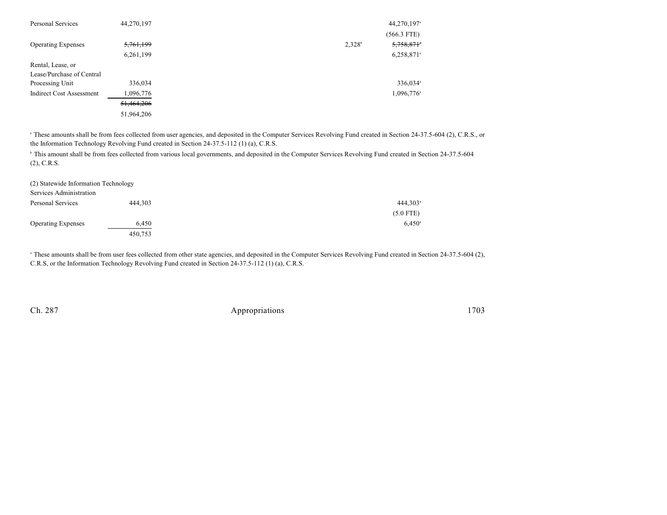| Personal Services               | 44,270,197 |           | 44,270,197 <sup>a</sup>  |
|---------------------------------|------------|-----------|--------------------------|
|                                 |            |           | $(566.3$ FTE)            |
| <b>Operating Expenses</b>       | 5,761,199  | $2,328^b$ | 5,758,871                |
|                                 | 6,261,199  |           | $6,258,871$ <sup>a</sup> |
| Rental, Lease, or               |            |           |                          |
| Lease/Purchase of Central       |            |           |                          |
| Processing Unit                 | 336,034    |           | 336,034 <sup>a</sup>     |
| <b>Indirect Cost Assessment</b> | 1,096,776  |           | $1,096,776$ <sup>a</sup> |
|                                 | 51,464,206 |           |                          |
|                                 | 51,964,206 |           |                          |

<sup>a</sup> These amounts shall be from fees collected from user agencies, and deposited in the Computer Services Revolving Fund created in Section 24-37.5-604 (2), C.R.S., or the Information Technology Revolving Fund created in Section 24-37.5-112 (1) (a), C.R.S.

<sup>h</sup> This amount shall be from fees collected from various local governments, and deposited in the Computer Services Revolving Fund created in Section 24-37.5-604 (2), C.R.S.

| (2) Statewide Information Technology |         |                        |
|--------------------------------------|---------|------------------------|
| Services Administration              |         |                        |
| Personal Services                    | 444.303 | $444.303$ <sup>a</sup> |
|                                      |         | $(5.0$ FTE)            |
| <b>Operating Expenses</b>            | 6,450   | $6,450^{\circ}$        |
|                                      | 450,753 |                        |

<sup>a</sup> These amounts shall be from user fees collected from other state agencies, and deposited in the Computer Services Revolving Fund created in Section 24-37.5-604 (2), C.R.S, or the Information Technology Revolving Fund created in Section 24-37.5-112 (1) (a), C.R.S.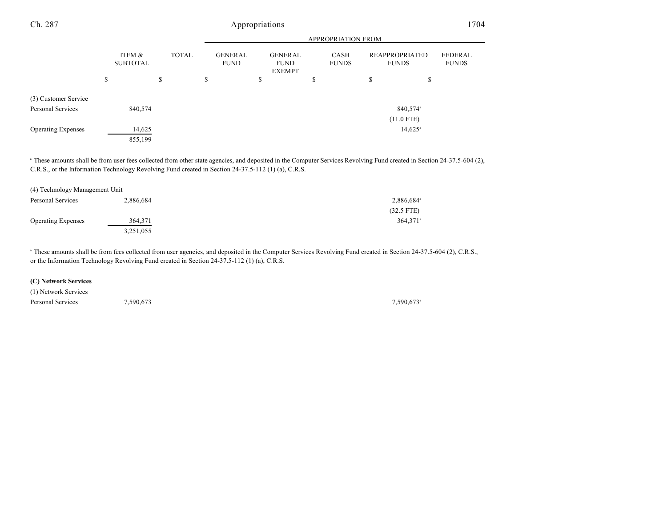|                                           | <b>APPROPRIATION FROM</b> |    |              |    |                               |    |                                                |                             |                                       |                         |
|-------------------------------------------|---------------------------|----|--------------|----|-------------------------------|----|------------------------------------------------|-----------------------------|---------------------------------------|-------------------------|
|                                           | ITEM &<br><b>SUBTOTAL</b> |    | <b>TOTAL</b> |    | <b>GENERAL</b><br><b>FUND</b> |    | <b>GENERAL</b><br><b>FUND</b><br><b>EXEMPT</b> | <b>CASH</b><br><b>FUNDS</b> | <b>REAPPROPRIATED</b><br><b>FUNDS</b> | FEDERAL<br><b>FUNDS</b> |
|                                           | \$                        | \$ |              | \$ |                               | \$ |                                                | \$                          | \$<br>\$                              |                         |
| (3) Customer Service<br>Personal Services | 840,574                   |    |              |    |                               |    |                                                |                             | 840,574 <sup>a</sup><br>$(11.0$ FTE)  |                         |
| <b>Operating Expenses</b>                 | 14,625<br>855,199         |    |              |    |                               |    |                                                |                             | $14,625$ <sup>a</sup>                 |                         |

<sup>a</sup> These amounts shall be from user fees collected from other state agencies, and deposited in the Computer Services Revolving Fund created in Section 24-37.5-604 (2), C.R.S., or the Information Technology Revolving Fund created in Section 24-37.5-112 (1) (a), C.R.S.

| (4) Technology Management Unit |           |                        |
|--------------------------------|-----------|------------------------|
| Personal Services              | 2,886,684 | 2,886,684 <sup>a</sup> |
|                                |           | $(32.5$ FTE)           |
| <b>Operating Expenses</b>      | 364.371   | $364.371$ <sup>a</sup> |
|                                | 3,251,055 |                        |

<sup>a</sup> These amounts shall be from fees collected from user agencies, and deposited in the Computer Services Revolving Fund created in Section 24-37.5-604 (2), C.R.S., or the Information Technology Revolving Fund created in Section 24-37.5-112 (1) (a), C.R.S.

#### **(C) Network Services**

| (1) Network Services |           |           |
|----------------------|-----------|-----------|
| Personal Services    | 7,590,673 | 7,590,673 |

 $7,590,673$ <sup>a</sup>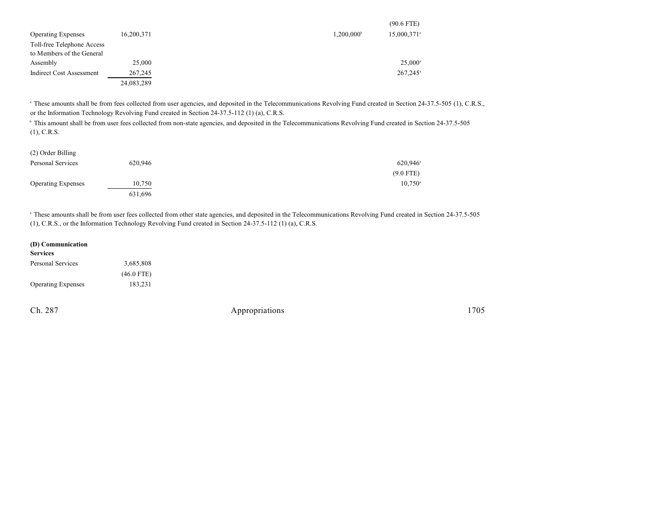|                                 |            | $(90.6$ FTE)                                   |  |
|---------------------------------|------------|------------------------------------------------|--|
| <b>Operating Expenses</b>       | 16,200,371 | $1,200,000^{\circ}$<br>15,000,371 <sup>a</sup> |  |
| Toll-free Telephone Access      |            |                                                |  |
| to Members of the General       |            |                                                |  |
| Assembly                        | 25,000     | $25,000^{\circ}$                               |  |
| <b>Indirect Cost Assessment</b> | 267,245    | $267,245$ <sup>a</sup>                         |  |
|                                 | 24,083,289 |                                                |  |

<sup>a</sup> These amounts shall be from fees collected from user agencies, and deposited in the Telecommunications Revolving Fund created in Section 24-37.5-505 (1), C.R.S., or the Information Technology Revolving Fund created in Section 24-37.5-112 (1) (a), C.R.S.

<sup>h</sup> This amount shall be from user fees collected from non-state agencies, and deposited in the Telecommunications Revolving Fund created in Section 24-37.5-505 (1), C.R.S.

| (2) Order Billing         |         |                        |
|---------------------------|---------|------------------------|
| Personal Services         | 620.946 | $620,946$ <sup>a</sup> |
|                           |         | $(9.0$ FTE)            |
| <b>Operating Expenses</b> | 10,750  | $10,750^{\circ}$       |
|                           | 631,696 |                        |

<sup>a</sup> These amounts shall be from user fees collected from other state agencies, and deposited in the Telecommunications Revolving Fund created in Section 24-37.5-505 (1), C.R.S., or the Information Technology Revolving Fund created in Section 24-37.5-112 (1) (a), C.R.S.

| (D) Communication         |              |
|---------------------------|--------------|
| <b>Services</b>           |              |
| Personal Services         | 3,685,808    |
|                           | $(46.0$ FTE) |
| <b>Operating Expenses</b> | 183,231      |
|                           |              |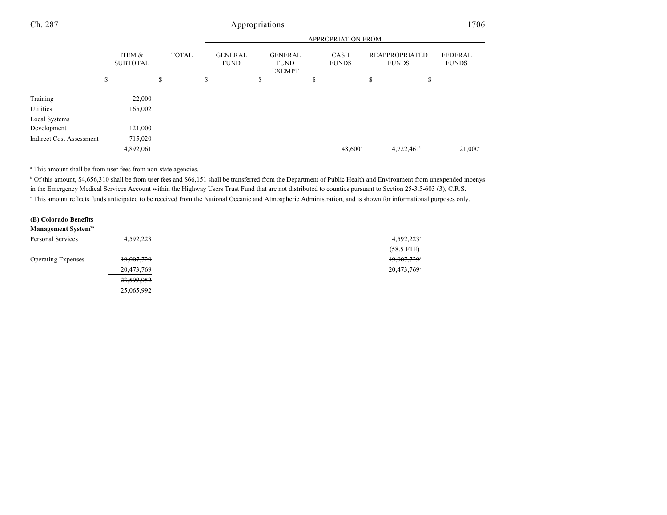|--|--|

|                                 |                           |              |                               | <b>APPROPRIATION FROM</b>                      |                      |                                       |                                |  |
|---------------------------------|---------------------------|--------------|-------------------------------|------------------------------------------------|----------------------|---------------------------------------|--------------------------------|--|
|                                 | ITEM &<br><b>SUBTOTAL</b> | <b>TOTAL</b> | <b>GENERAL</b><br><b>FUND</b> | <b>GENERAL</b><br><b>FUND</b><br><b>EXEMPT</b> | CASH<br><b>FUNDS</b> | <b>REAPPROPRIATED</b><br><b>FUNDS</b> | <b>FEDERAL</b><br><b>FUNDS</b> |  |
|                                 | \$                        | \$           | \$                            | \$                                             | \$                   | \$                                    | \$                             |  |
| Training                        | 22,000                    |              |                               |                                                |                      |                                       |                                |  |
| Utilities                       | 165,002                   |              |                               |                                                |                      |                                       |                                |  |
| Local Systems                   |                           |              |                               |                                                |                      |                                       |                                |  |
| Development                     | 121,000                   |              |                               |                                                |                      |                                       |                                |  |
| <b>Indirect Cost Assessment</b> | 715,020                   |              |                               |                                                |                      |                                       |                                |  |
|                                 | 4,892,061                 |              |                               |                                                | $48,600^{\circ}$     | $4,722,461$ <sup>b</sup>              | $121,000^{\circ}$              |  |

<sup>a</sup> This amount shall be from user fees from non-state agencies.

<sup>b</sup> Of this amount, \$4,656,310 shall be from user fees and \$66,151 shall be transferred from the Department of Public Health and Environment from unexpended moenys in the Emergency Medical Services Account within the Highway Users Trust Fund that are not distributed to counties pursuant to Section 25-3.5-603 (3), C.R.S. This amount reflects funds anticipated to be received from the National Oceanic and Atmospheric Administration, and is shown for informational purposes only.

| (E) Colorado Benefits           |            |                         |
|---------------------------------|------------|-------------------------|
| Management System <sup>9a</sup> |            |                         |
| Personal Services               | 4,592,223  | 4,592,223 <sup>a</sup>  |
|                                 |            | $(58.5$ FTE)            |
| <b>Operating Expenses</b>       | 19,007,729 | 19,007,729              |
|                                 | 20,473,769 | 20,473,769 <sup>a</sup> |
|                                 | 23,599,952 |                         |
|                                 | 25,065,992 |                         |
|                                 |            |                         |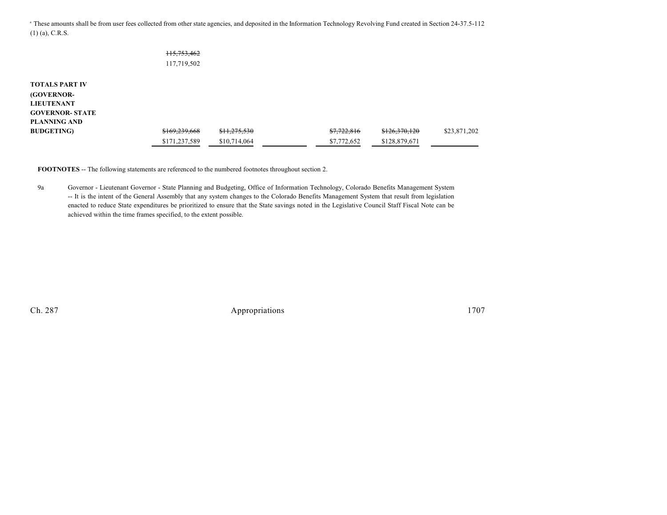<sup>a</sup> These amounts shall be from user fees collected from other state agencies, and deposited in the Information Technology Revolving Fund created in Section 24-37.5-112 (1) (a), C.R.S.

|                        | 115,753,462   |              |             |               |              |
|------------------------|---------------|--------------|-------------|---------------|--------------|
|                        | 117,719,502   |              |             |               |              |
|                        |               |              |             |               |              |
| <b>TOTALS PART IV</b>  |               |              |             |               |              |
| <b>(GOVERNOR-</b>      |               |              |             |               |              |
| <b>LIEUTENANT</b>      |               |              |             |               |              |
| <b>GOVERNOR- STATE</b> |               |              |             |               |              |
| <b>PLANNING AND</b>    |               |              |             |               |              |
| <b>BUDGETING</b> )     | \$169,239,668 | \$11,275,530 | \$7,722,816 | \$126,370,120 | \$23,871,202 |
|                        | \$171,237,589 | \$10,714,064 | \$7,772,652 | \$128,879,671 |              |

**FOOTNOTES** -- The following statements are referenced to the numbered footnotes throughout section 2.

9a Governor - Lieutenant Governor - State Planning and Budgeting, Office of Information Technology, Colorado Benefits Management System -- It is the intent of the General Assembly that any system changes to the Colorado Benefits Management System that result from legislation enacted to reduce State expenditures be prioritized to ensure that the State savings noted in the Legislative Council Staff Fiscal Note can be achieved within the time frames specified, to the extent possible.